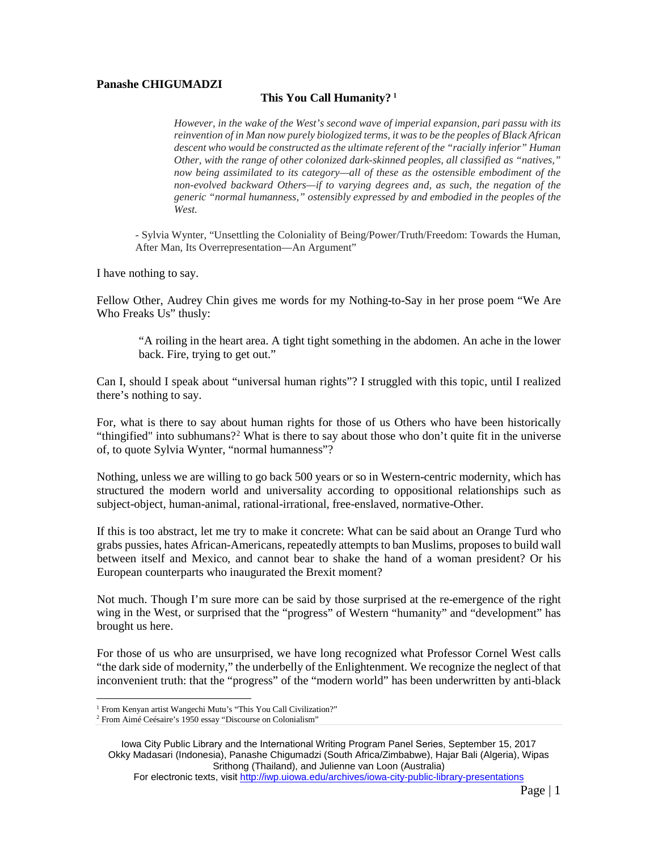## **Panashe CHIGUMADZI**

## **This You Call Humanity? [1](#page-0-0)**

*However, in the wake of the West's second wave of imperial expansion, pari passu with its reinvention of in Man now purely biologized terms, it wasto be the peoples of Black African descent who would be constructed asthe ultimate referent of the "racially inferior" Human Other, with the range of other colonized dark-skinned peoples, all classified as "natives," now being assimilated to its category—all of these as the ostensible embodiment of the non-evolved backward Others—if to varying degrees and, as such, the negation of the generic "normal humanness," ostensibly expressed by and embodied in the peoples of the West.*

*-* Sylvia Wynter, "Unsettling the Coloniality of Being/Power/Truth/Freedom: Towards the Human, After Man, Its Overrepresentation—An Argument"

I have nothing to say.

Fellow Other, Audrey Chin gives me words for my Nothing-to-Say in her prose poem "We Are Who Freaks Us" thusly:

"A roiling in the heart area. A tight tight something in the abdomen. An ache in the lower back. Fire, trying to get out."

Can I, should I speak about "universal human rights"? I struggled with this topic, until I realized there's nothing to say.

For, what is there to say about human rights for those of us Others who have been historically "thingified" into subhumans?<sup>[2](#page-0-1)</sup> What is there to say about those who don't quite fit in the universe of, to quote Sylvia Wynter, "normal humanness"?

Nothing, unless we are willing to go back 500 years or so in Western-centric modernity, which has structured the modern world and universality according to oppositional relationships such as subject-object, human-animal, rational-irrational, free-enslaved, normative-Other.

If this is too abstract, let me try to make it concrete: What can be said about an Orange Turd who grabs pussies, hates African-Americans, repeatedly attempts to ban Muslims, proposesto build wall between itself and Mexico, and cannot bear to shake the hand of a woman president? Or his European counterparts who inaugurated the Brexit moment?

Not much. Though I'm sure more can be said by those surprised at the re-emergence of the right wing in the West, or surprised that the "progress" of Western "humanity" and "development" has brought us here.

For those of us who are unsurprised, we have long recognized what Professor Cornel West calls "the dark side of modernity," the underbelly of the Enlightenment. We recognize the neglect of that inconvenient truth: that the "progress" of the "modern world" has been underwritten by anti-black

<sup>&</sup>lt;sup>1</sup> From Kenyan artist Wangechi Mutu's "This You Call Civilization?"

<span id="page-0-1"></span><span id="page-0-0"></span><sup>2</sup> From Aimé Ceésaire's 1950 essay "Discourse on Colonialism"

Iowa City Public Library and the International Writing Program Panel Series, September 15, 2017 Okky Madasari (Indonesia), Panashe Chigumadzi (South Africa/Zimbabwe), Hajar Bali (Algeria), Wipas Srithong (Thailand), and Julienne van Loon (Australia)

For electronic texts, visit <http://iwp.uiowa.edu/archives/iowa-city-public-library-presentations>